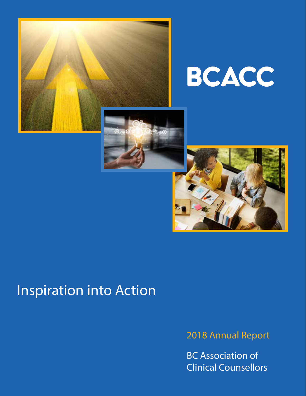

# BCACC



# Inspiration into Action

2018 Annual Report

BC Association of Clinical Counsellors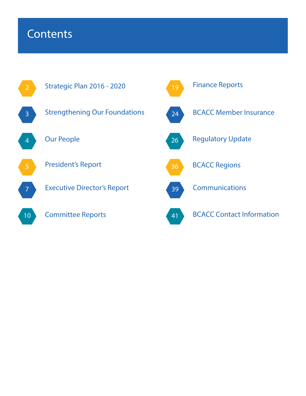### **Contents**

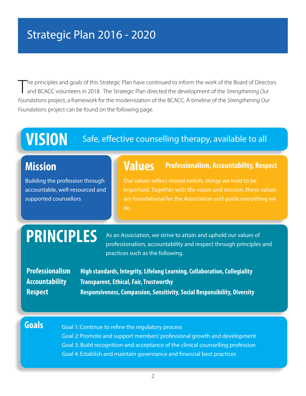### Strategic Plan 2016 - 2020

T he principles and goals of this Strategic Plan have continued to inform the work of the Board of Directors and BCACC volunteers in 2018. The Strategic Plan directed the development of the *Strengthening Our Foundations* project, a framework for the modernization of the BCACC. A timeline of the *Strengthening Our Foundations* project can be found on the following page.

# **VISION** Safe, effective counselling therapy, available to all

### **Mission**

Building the profession through accountable, well-resourced and supported counsellors

### **Values Professionalism, Accountability, Respect**

Our values reflect shared beliefs, things we hold to be important. Together with the vision and mission, these values are foundational for the Association and guide everything we do.

**PRINCIPLES** As an Association, we strive to attain and uphold our values of professionalism, accountability and respect through principles and practices such as the following.

| <b>Professionalism</b> |
|------------------------|
| <b>Accountability</b>  |
| <b>Respect</b>         |

**High standards, Integrity, Lifelong Learning, Collaboration, Collegiality Accountability Transparent, Ethical, Fair, Trustworthy Respect Responsiveness, Compassion, Sensitivity, Social Responsibility, Diversity**

**Goals** Goal 1: Continue to refine the regulatory process Goal 2: Promote and support members' professional growth and development Goal 3: Build recognition and acceptance of the clinical counselling profession Goal 4: Establish and maintain governance and financial best practices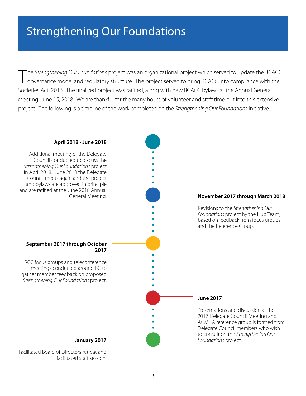### Strengthening Our Foundations

T he *Strengthening Our Foundations* project was an organizational project which served to update the BCACC governance model and regulatory structure. The project served to bring BCACC into compliance with the Societies Act, 2016. The finalized project was ratified, along with new BCACC bylaws at the Annual General Meeting, June 15, 2018. We are thankful for the many hours of volunteer and staff time put into this extensive project. The following is a timeline of the work completed on the *Strengthening Our Foundations* initiative.

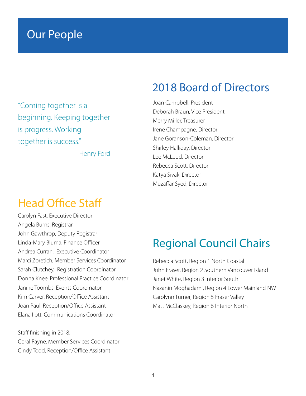### Our People

"Coming together is a beginning. Keeping together is progress. Working together is success."

- Henry Ford

### Head Office Staff

Carolyn Fast, Executive Director Angela Burns, Registrar John Gawthrop, Deputy Registrar Linda-Mary Bluma, Finance Officer Andrea Curran, Executive Coordinator Marci Zoretich, Member Services Coordinator Sarah Clutchey, Registration Coordinator Donna Knee, Professional Practice Coordinator Janine Toombs, Events Coordinator Kim Carver, Reception/Office Assistant Joan Paul, Reception/Office Assistant Elana Ilott, Communications Coordinator

Staff finishing in 2018: Coral Payne, Member Services Coordinator Cindy Todd, Reception/Office Assistant

### 2018 Board of Directors

Joan Campbell, President Deborah Braun, Vice President Merry Miller, Treasurer Irene Champagne, Director Jane Goranson-Coleman, Director Shirley Halliday, Director Lee McLeod, Director Rebecca Scott, Director Katya Sivak, Director Muzaffar Syed, Director

### Regional Council Chairs

Rebecca Scott, Region 1 North Coastal John Fraser, Region 2 Southern Vancouver Island Janet White, Region 3 Interior South Nazanin Moghadami, Region 4 Lower Mainland NW Carolynn Turner, Region 5 Fraser Valley Matt McClaskey, Region 6 Interior North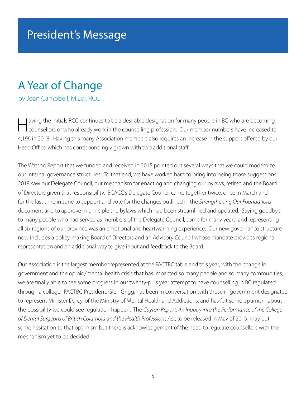### A Year of Change

by Joan Campbell, M.Ed., RCC

aving the initials RCC continues to be a desirable designation for many people in BC who are becoming<br>counsellors or who already work in the counselling profession. Our member numbers have increased to 4,196 in 2018. Having this many Association members also requires an increase in the support offered by our Head Office which has correspondingly grown with two additional staff.

The Watson Report that we funded and received in 2015 pointed out several ways that we could modernize our internal governance structures. To that end, we have worked hard to bring into being those suggestions. 2018 saw our Delegate Council, our mechanism for enacting and changing our bylaws, retired and the Board of Directors given that responsibility. BCACC's Delegate Council came together twice, once in March and for the last time in June to support and vote for the changes outlined in the *Strengthening Our Foundations*  document and to approve in principle the bylaws which had been streamlined and updated. Saying goodbye to many people who had served as members of the Delegate Council, some for many years, and representing all six regions of our province was an emotional and heartwarming experience. Our new governance structure now includes a policy-making Board of Directors and an Advisory Council whose mandate provides regional representation and an additional way to give input and feedback to the Board.

Our Association is the largest member represented at the FACTBC table and this year, with the change in government and the opioid/mental health crisis that has impacted so many people and so many communities, we are finally able to see some progress in our twenty-plus year attempt to have counselling in BC regulated through a college. FACTBC President, Glen Grigg, has been in conversation with those in government designated to represent Minister Darcy, of the Ministry of Mental Health and Addictions, and has felt some optimism about the possibility we could see regulation happen. The *Cayton Report, An Inquiry into the Performance of the College of Dental Surgeons of British Columbia and the Health Professions Act*, to be released in May of 2019, may put some hesitation to that optimism but there is acknowledgement of the need to regulate counsellors with the mechanism yet to be decided.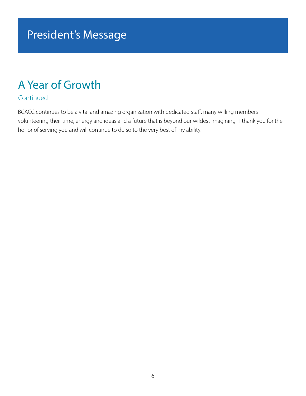### President's Message

### A Year of Growth

#### Continued

BCACC continues to be a vital and amazing organization with dedicated staff, many willing members volunteering their time, energy and ideas and a future that is beyond our wildest imagining. I thank you for the honor of serving you and will continue to do so to the very best of my ability.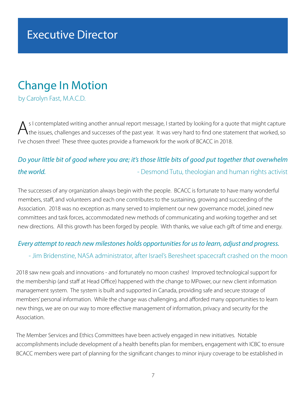### Executive Director

### Change In Motion

by Carolyn Fast, M.A.C.D.

As I contemplated writing another annual report message, I started by looking for a quote that might capture<br>
the issues, challenges and successes of the past year. It was very hard to find one statement that worked, so I've chosen three! These three quotes provide a framework for the work of BCACC in 2018.

### *Do your little bit of good where you are; it's those little bits of good put together that overwhelm*  **the world.** The world is a set of the world of the world. The world is a set of the best of the Desmond Tutu, theologian and human rights activist

The successes of any organization always begin with the people. BCACC is fortunate to have many wonderful members, staff, and volunteers and each one contributes to the sustaining, growing and succeeding of the Association. 2018 was no exception as many served to implement our new governance model, joined new committees and task forces, accommodated new methods of communicating and working together and set new directions. All this growth has been forged by people. With thanks, we value each gift of time and energy.

#### *Every attempt to reach new milestones holds opportunities for us to learn, adjust and progress.*

#### - Jim Bridenstine, NASA administrator, after Israel's Beresheet spacecraft crashed on the moon

2018 saw new goals and innovations - and fortunately no moon crashes! Improved technological support for the membership (and staff at Head Office) happened with the change to MPower, our new client information management system. The system is built and supported in Canada, providing safe and secure storage of members' personal information. While the change was challenging, and afforded many opportunities to learn new things, we are on our way to more effective management of information, privacy and security for the Association.

The Member Services and Ethics Committees have been actively engaged in new initiatives. Notable accomplishments include development of a health benefits plan for members, engagement with ICBC to ensure BCACC members were part of planning for the significant changes to minor injury coverage to be established in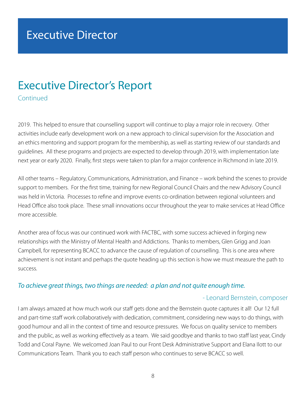### Executive Director's Report

Continued

2019. This helped to ensure that counselling support will continue to play a major role in recovery. Other activities include early development work on a new approach to clinical supervision for the Association and an ethics mentoring and support program for the membership, as well as starting review of our standards and guidelines. All these programs and projects are expected to develop through 2019, with implementation late next year or early 2020. Finally, first steps were taken to plan for a major conference in Richmond in late 2019.

All other teams – Regulatory, Communications, Administration, and Finance – work behind the scenes to provide support to members. For the first time, training for new Regional Council Chairs and the new Advisory Council was held in Victoria. Processes to refine and improve events co-ordination between regional volunteers and Head Office also took place. These small innovations occur throughout the year to make services at Head Office more accessible.

Another area of focus was our continued work with FACTBC, with some success achieved in forging new relationships with the Ministry of Mental Health and Addictions. Thanks to members, Glen Grigg and Joan Campbell, for representing BCACC to advance the cause of regulation of counselling. This is one area where achievement is not instant and perhaps the quote heading up this section is how we must measure the path to success.

#### *To achieve great things, two things are needed: a plan and not quite enough time.*

#### - Leonard Bernstein, composer

I am always amazed at how much work our staff gets done and the Bernstein quote captures it all! Our 12 full and part-time staff work collaboratively with dedication, commitment, considering new ways to do things, with good humour and all in the context of time and resource pressures. We focus on quality service to members and the public, as well as working effectively as a team. We said goodbye and thanks to two staff last year, Cindy Todd and Coral Payne. We welcomed Joan Paul to our Front Desk Administrative Support and Elana Ilott to our Communications Team. Thank you to each staff person who continues to serve BCACC so well.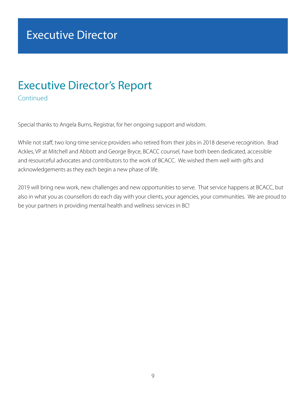### Executive Director

### Executive Director's Report

Continued

Special thanks to Angela Burns, Registrar, for her ongoing support and wisdom.

While not staff, two long-time service providers who retired from their jobs in 2018 deserve recognition. Brad Ackles, VP at Mitchell and Abbott and George Bryce, BCACC counsel, have both been dedicated, accessible and resourceful advocates and contributors to the work of BCACC. We wished them well with gifts and acknowledgements as they each begin a new phase of life.

2019 will bring new work, new challenges and new opportunities to serve. That service happens at BCACC, but also in what you as counsellors do each day with your clients, your agencies, your communities. We are proud to be your partners in providing mental health and wellness services in BC!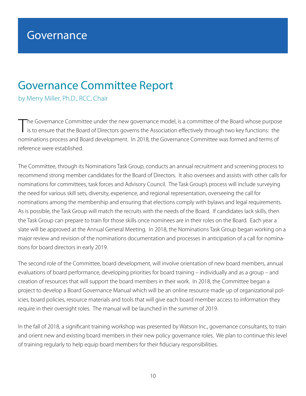### Governance Committee Report

by Merry Miller, Ph.D., RCC, Chair

T he Governance Committee under the new governance model, is a committee of the Board whose purpose is to ensure that the Board of Directors governs the Association effectively through two key functions: the nominations process and Board development. In 2018, the Governance Committee was formed and terms of reference were established.

The Committee, through its Nominations Task Group, conducts an annual recruitment and screening process to recommend strong member candidates for the Board of Directors. It also oversees and assists with other calls for nominations for committees, task forces and Advisory Council. The Task Group's process will include surveying the need for various skill sets, diversity, experience, and regional representation, overseeing the call for nominations among the membership and ensuring that elections comply with bylaws and legal requirements. As is possible, the Task Group will match the recruits with the needs of the Board. If candidates lack skills, then the Task Group can prepare to train for those skills once nominees are in their roles on the Board. Each year a slate will be approved at the Annual General Meeting. In 2018, the Nominations Task Group began working on a major review and revision of the nominations documentation and processes in anticipation of a call for nominations for board directors in early 2019.

The second role of the Committee, board development, will involve orientation of new board members, annual evaluations of board performance, developing priorities for board training – individually and as a group – and creation of resources that will support the board members in their work. In 2018, the Committee began a project to develop a Board Governance Manual which will be an online resource made up of organizational policies, board policies, resource materials and tools that will give each board member access to information they require in their oversight roles. The manual will be launched in the summer of 2019.

In the fall of 2018, a significant training workshop was presented by Watson Inc., governance consultants, to train and orient new and existing board members in their new policy governance roles. We plan to continue this level of training regularly to help equip board members for their fiduciary responsibilities.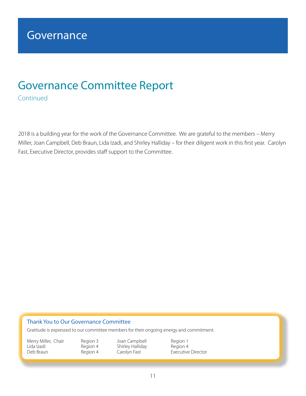### Governance Committee Report

Continued

2018 is a building year for the work of the Governance Committee. We are grateful to the members – Merry Miller, Joan Campbell, Deb Braun, Lida Izadi, and Shirley Halliday – for their diligent work in this first year. Carolyn Fast, Executive Director, provides staff support to the Committee.

#### Thank You to Our Governance Committee

Gratitude is expressed to our committee members for their ongoing energy and commitment.

Lida Izadi Region 4 Shirley Halliday Region 4

Merry Miller, Chair Region 3 Joan Campbell Region 1

Executive Director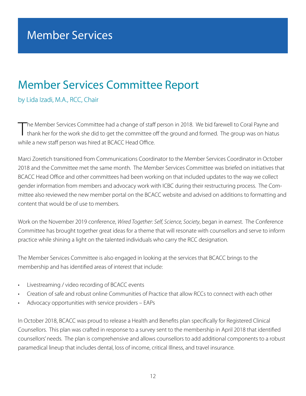### Member Services Committee Report

by Lida Izadi, M.A., RCC, Chair

The Member Services Committee had a change of staff person in 2018. We bid farewell to Coral Payne and<br>thank her for the work she did to get the committee off the ground and formed. The group was on hiatus he Member Services Committee had a change of staff person in 2018. We bid farewell to Coral Payne and while a new staff person was hired at BCACC Head Office.

Marci Zoretich transitioned from Communications Coordinator to the Member Services Coordinator in October 2018 and the Committee met the same month. The Member Services Committee was briefed on initiatives that BCACC Head Office and other committees had been working on that included updates to the way we collect gender information from members and advocacy work with ICBC during their restructuring process. The Committee also reviewed the new member portal on the BCACC website and advised on additions to formatting and content that would be of use to members.

Work on the November 2019 conference, *Wired Together: Self, Science, Society*, began in earnest. The Conference Committee has brought together great ideas for a theme that will resonate with counsellors and serve to inform practice while shining a light on the talented individuals who carry the RCC designation.

The Member Services Committee is also engaged in looking at the services that BCACC brings to the membership and has identified areas of interest that include:

- Livestreaming / video recording of BCACC events
- Creation of safe and robust online Communities of Practice that allow RCCs to connect with each other
- Advocacy opportunities with service providers EAPs

In October 2018, BCACC was proud to release a Health and Benefits plan specifically for Registered Clinical Counsellors. This plan was crafted in response to a survey sent to the membership in April 2018 that identified counsellors' needs. The plan is comprehensive and allows counsellors to add additional components to a robust paramedical lineup that includes dental, loss of income, critical Illness, and travel insurance.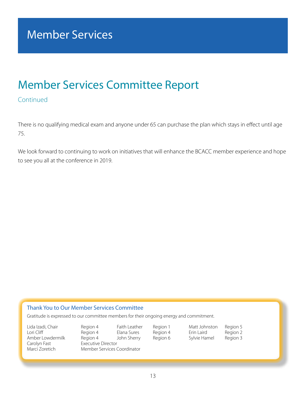### Member Services Committee Report

#### Continued

There is no qualifying medical exam and anyone under 65 can purchase the plan which stays in effect until age 75.

We look forward to continuing to work on initiatives that will enhance the BCACC member experience and hope to see you all at the conference in 2019.

#### Thank You to Our Member Services Committee

Gratitude is expressed to our committee members for their ongoing energy and commitment.

Amber Lowdermilk<br>Carolyn Fast Carolyn Fast **Executive Director**<br>
Marci Zoretich Member Services C

Lida Izadi, Chair Region 4 Faith Leather Region 1 Matt Johnston Region 5 Lori Cliff Region 4 Elana Sures Region 4 Erin Laird Region 2 Member Services Coordinator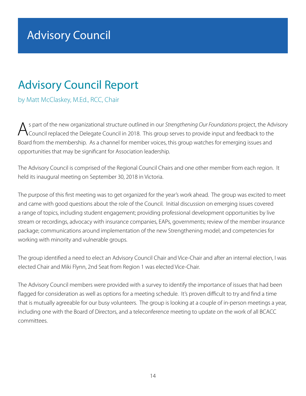### Advisory Council Report

by Matt McClaskey, M.Ed., RCC, Chair

As part of the new organizational structure outlined in our *Strengthening Our Foundations* project, the Advisory<br>Council replaced the Delegate Council in 2018. This group serves to provide input and feedback to the Board from the membership. As a channel for member voices, this group watches for emerging issues and opportunities that may be significant for Association leadership.

The Advisory Council is comprised of the Regional Council Chairs and one other member from each region. It held its inaugural meeting on September 30, 2018 in Victoria.

The purpose of this first meeting was to get organized for the year's work ahead. The group was excited to meet and came with good questions about the role of the Council. Initial discussion on emerging issues covered a range of topics, including student engagement; providing professional development opportunities by live stream or recordings, advocacy with insurance companies, EAPs, governments; review of the member insurance package; communications around implementation of the new Strengthening model; and competencies for working with minority and vulnerable groups.

The group identified a need to elect an Advisory Council Chair and Vice-Chair and after an internal election, I was elected Chair and Miki Flynn, 2nd Seat from Region 1 was elected Vice-Chair.

The Advisory Council members were provided with a survey to identify the importance of issues that had been flagged for consideration as well as options for a meeting schedule. It's proven difficult to try and find a time that is mutually agreeable for our busy volunteers. The group is looking at a couple of in-person meetings a year, including one with the Board of Directors, and a teleconference meeting to update on the work of all BCACC committees.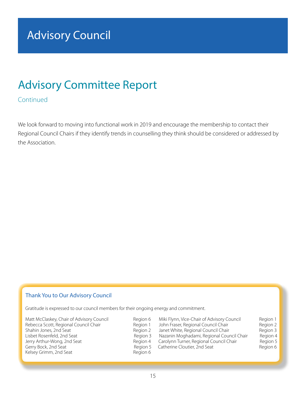### Advisory Committee Report

#### **Continued**

We look forward to moving into functional work in 2019 and encourage the membership to contact their Regional Council Chairs if they identify trends in counselling they think should be considered or addressed by the Association.

#### Thank You to Our Advisory Council

Gratitude is expressed to our council members for their ongoing energy and commitment.

Matt McClaskey, Chair of Advisory Council **Region 6** Miki Flynn, Vice-Chair of Advisory Council Region 1 Rebecca Scott, Regional Council Chair **Region 1** John Fraser, Regional Council Chair Region 2<br>1 Region 2 Janet White, Regional Council Chair Region 3 Shahin Jones, 2nd Seat **Region 2 Shahin Jones, 2nd Seat All Accord 2** Janet White, Regional Council Chair Region 3<br>4 Region 3 Nazanin Moghadami, Regional Council Chair Region 4 Jerry Arthur-Wong, 2nd Seat **Region 4 Carolynn Turner, Regional Council Chair** Region 5<br>Gerry Bock, 2nd Seat Region 6 Region 5 Catherine Cloutier, 2nd Seat Region 6 Gerry Bock, 2nd Seat **Region 5** Catherine Cloutier, 2nd Seat Kelsey Grimm, 2nd Seat Region 6

Region 3 Nazanin Moghadami, Regional Council Chair<br>Region 4 Carolynn Turner, Regional Council Chair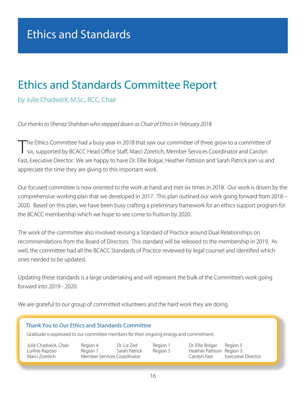### Ethics and Standards Committee Report

by Julie Chadwick, M.Sc., RCC, Chair

*Our thanks to Shenaz Shahban who stepped down as Chair of Ethics in February 2018*

T he Ethics Committee had a busy year in 2018 that saw our committee of three grow to a committee of six, supported by BCACC Head Office Staff, Marci Zoretich, Member Services Coordinator and Carolyn Fast, Executive Director. We are happy to have Dr. Ellie Bolgar, Heather Pattison and Sarah Patrick join us and appreciate the time they are giving to this important work.

Our focused committee is now oriented to the work at hand and met six times in 2018. Our work is driven by the comprehensive working plan that we developed in 2017. This plan outlined our work going forward from 2018 – 2020. Based on this plan, we have been busy crafting a preliminary framework for an ethics support program for the BCACC membership which we hope to see come to fruition by 2020.

The work of the committee also involved revising a Standard of Practice around Dual Relationships on recommendations from the Board of Directors. This standard will be released to the membership in 2019. As well, the committee had all the BCACC Standards of Practice reviewed by legal counsel and identified which ones needed to be updated.

Updating these standards is a large undertaking and will represent the bulk of the Committee's work going forward into 2019 - 2020.

We are grateful to our group of committed volunteers and the hard work they are doing.

#### Thank You to Our Ethics and Standards Committee Gratitude is expressed to our committee members for their ongoing energy and commitment. Julie Chadwick, Chair Region 4 Dr. Liz Zed Region 1 Dr. Ellie Bolgar Region 5 Lurline Raposo Region 1 Sarah Patrick Region 5 Heather Pattison Region 3 Marci Zoretich Member Services Coordinator Carolyn Fast Executive Director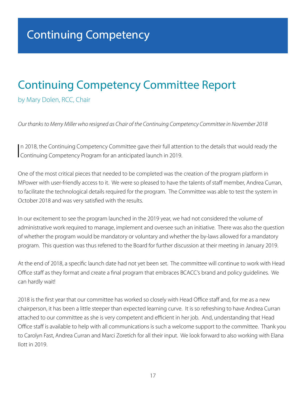### Continuing Competency Committee Report

by Mary Dolen, RCC, Chair

*Our thanks to Merry Miller who resigned as Chair of the Continuing Competency Committee in November 2018*

In 2018, the Continuing Competency Committee gave their full atten<br>Continuing Competency Program for an anticipated launch in 2019. In 2018, the Continuing Competency Committee gave their full attention to the details that would ready the

One of the most critical pieces that needed to be completed was the creation of the program platform in MPower with user-friendly access to it. We were so pleased to have the talents of staff member, Andrea Curran, to facilitate the technological details required for the program. The Committee was able to test the system in October 2018 and was very satisfied with the results.

In our excitement to see the program launched in the 2019 year, we had not considered the volume of administrative work required to manage, implement and oversee such an initiative. There was also the question of whether the program would be mandatory or voluntary and whether the by-laws allowed for a mandatory program. This question was thus referred to the Board for further discussion at their meeting in January 2019.

At the end of 2018, a specific launch date had not yet been set. The committee will continue to work with Head Office staff as they format and create a final program that embraces BCACC's brand and policy guidelines. We can hardly wait!

2018 is the first year that our committee has worked so closely with Head Office staff and, for me as a new chairperson, it has been a little steeper than expected learning curve. It is so refreshing to have Andrea Curran attached to our committee as she is very competent and efficient in her job. And, understanding that Head Office staff is available to help with all communications is such a welcome support to the committee. Thank you to Carolyn Fast, Andrea Curran and Marci Zoretich for all their input. We look forward to also working with Elana Ilott in 2019.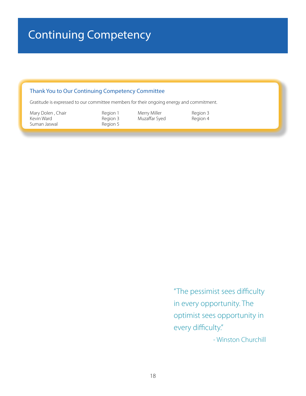### Continuing Competency

#### Thank You to Our Continuing Competency Committee

Gratitude is expressed to our committee members for their ongoing energy and commitment.

Mary Dolen , Chair **Example 2** Region 1 Merry Miller **Region 3**<br>
Region 3 Muzaffar Syed Region 4 Suman Jaswal **Region 5** 

Muzaffar Syed

"The pessimist sees difficulty in every opportunity. The optimist sees opportunity in every difficulty." - Winston Churchill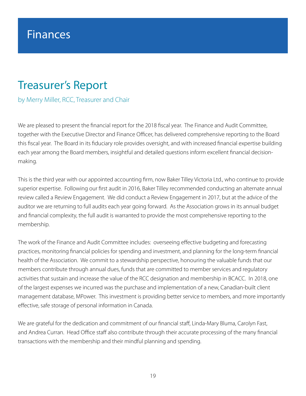### Finances

### Treasurer's Report

by Merry Miller, RCC, Treasurer and Chair

We are pleased to present the financial report for the 2018 fiscal year. The Finance and Audit Committee, together with the Executive Director and Finance Officer, has delivered comprehensive reporting to the Board this fiscal year. The Board in its fiduciary role provides oversight, and with increased financial expertise building each year among the Board members, insightful and detailed questions inform excellent financial decisionmaking.

This is the third year with our appointed accounting firm, now Baker Tilley Victoria Ltd., who continue to provide superior expertise. Following our first audit in 2016, Baker Tilley recommended conducting an alternate annual review called a Review Engagement. We did conduct a Review Engagement in 2017, but at the advice of the auditor we are returning to full audits each year going forward. As the Association grows in its annual budget and financial complexity, the full audit is warranted to provide the most comprehensive reporting to the membership.

The work of the Finance and Audit Committee includes: overseeing effective budgeting and forecasting practices, monitoring financial policies for spending and investment, and planning for the long-term financial health of the Association. We commit to a stewardship perspective, honouring the valuable funds that our members contribute through annual dues, funds that are committed to member services and regulatory activities that sustain and increase the value of the RCC designation and membership in BCACC. In 2018, one of the largest expenses we incurred was the purchase and implementation of a new, Canadian-built client management database, MPower. This investment is providing better service to members, and more importantly effective, safe storage of personal information in Canada.

We are grateful for the dedication and commitment of our financial staff, Linda-Mary Bluma, Carolyn Fast, and Andrea Curran. Head Office staff also contribute through their accurate processing of the many financial transactions with the membership and their mindful planning and spending.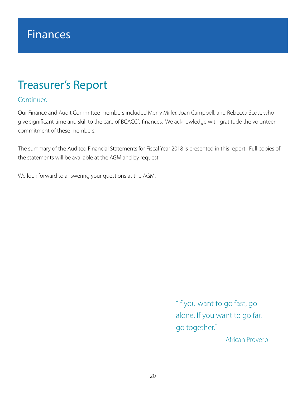### Treasurer's Report

#### Continued

Our Finance and Audit Committee members included Merry Miller, Joan Campbell, and Rebecca Scott, who give significant time and skill to the care of BCACC's finances. We acknowledge with gratitude the volunteer commitment of these members.

The summary of the Audited Financial Statements for Fiscal Year 2018 is presented in this report. Full copies of the statements will be available at the AGM and by request.

We look forward to answering your questions at the AGM.

"If you want to go fast, go alone. If you want to go far, go together."

- African Proverb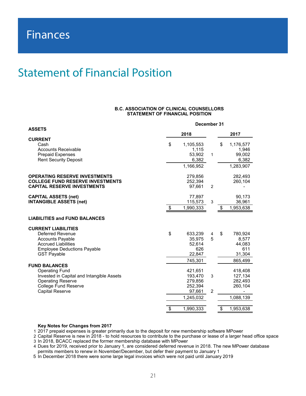### Statement of Financial Position

#### **B.C. ASSOCIATION OF CLINICAL COUNSELLORS STATEMENT OF FINANCIAL POSITION**

|                                                                                                                                                                            | December 31   |                                                                 |                     |                                                          |
|----------------------------------------------------------------------------------------------------------------------------------------------------------------------------|---------------|-----------------------------------------------------------------|---------------------|----------------------------------------------------------|
| <b>ASSETS</b>                                                                                                                                                              |               | 2018                                                            |                     | 2017                                                     |
| <b>CURRENT</b><br>Cash<br><b>Accounts Receivable</b><br><b>Prepaid Expenses</b><br><b>Rent Security Deposit</b>                                                            | \$            | 1,105,553<br>1,115<br>53,902<br>6,382<br>1,166,952              | $\mathbf{1}$        | \$<br>1,176,577<br>1,946<br>99,002<br>6,382<br>1,283,907 |
| <b>OPERATING RESERVE INVESTMENTS</b><br><b>COLLEGE FUND RESERVE INVESTMENTS</b><br><b>CAPITAL RESERVE INVESTMENTS</b>                                                      |               | 279,856<br>252,394<br>97,661                                    | 2                   | 282,493<br>260,104                                       |
| <b>CAPITAL ASSETS (net)</b><br><b>INTANGIBLE ASSETS (net)</b>                                                                                                              | $\sqrt[6]{3}$ | 77,897<br>115,573<br>1,990,333                                  | 3                   | \$<br>90,173<br>36,961<br>1,953,638                      |
| <b>LIABILITIES and FUND BALANCES</b>                                                                                                                                       |               |                                                                 |                     |                                                          |
| <b>CURRENT LIABILITIES</b><br><b>Deferred Revenue</b><br><b>Accounts Payable</b><br><b>Accrued Liabilities</b><br><b>Employee Deductions Payable</b><br><b>GST Payable</b> | \$            | 633,239<br>35,975<br>52,614<br>626<br>22,847                    | 4<br>5              | \$<br>780,924<br>8,577<br>44,083<br>611<br>31,304        |
| <b>FUND BALANCES</b>                                                                                                                                                       |               | 745,301                                                         |                     | 865,499                                                  |
| <b>Operating Fund</b><br>Invested in Capital and Intangible Assets<br><b>Operating Reserve</b><br><b>College Fund Reserve</b><br><b>Capital Reserve</b>                    |               | 421,651<br>193.470<br>279,856<br>252,394<br>97,661<br>1,245,032 | 3<br>$\overline{2}$ | 418,408<br>127,134<br>282,493<br>260,104<br>1,088,139    |
|                                                                                                                                                                            | \$            | 1,990,333                                                       |                     | \$<br>1,953,638                                          |

#### **Key Notes for Changes from 2017**

1 2017 prepaid expenses is greater primarily due to the deposit for new membership software MPower

2 Capital Reserve is new in 2018 - to hold resources to contribute to the purchase or lease of a larger head office space 3 In 2018, BCACC replaced the former membership database with MPower

4 Dues for 2019, received prior to January 1, are considered deferred revenue in 2018. The new MPower database permits members to renew in November/December, but defer their payment to January 1

5 In December 2018 there were some large legal invoices which were not paid until January 2019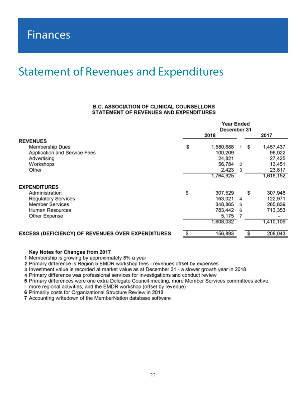### Statement of Revenues and Expenditures

#### **B.C. ASSOCIATION OF CLINICAL COUNSELLORS** STATEMENT OF REVENUES AND EXPENDITURES

|                                                          | Year Ended<br>December 31 |    |    |           |
|----------------------------------------------------------|---------------------------|----|----|-----------|
|                                                          | 2018                      |    |    | 2017      |
| <b>REVENUES</b>                                          |                           |    |    |           |
| Membership Dues                                          | \$<br>1,580,688           | 1. | S  | 1,457,437 |
| Application and Service Fees                             | 100,209                   |    |    | 96,022    |
| Advertising                                              | 24,821                    |    |    | 27,425    |
| Workshops                                                | 56,784                    | 2  |    | 13,451    |
| Other                                                    | 2,423                     | 3  |    | 23,817    |
|                                                          | 1,764,925                 |    |    | 1,618,152 |
| <b>EXPENDITURES</b>                                      |                           |    |    |           |
| Administration                                           | \$<br>307,529             |    | s  | 307,946   |
| <b>Regulatory Services</b>                               | 163,021                   | 4  |    | 122,971   |
| <b>Member Services</b>                                   | 348,865                   | 5  |    | 265,839   |
| Human Resources                                          | 783,442                   | 6  |    | 713,353   |
| Other Expense                                            | 5,175                     |    |    |           |
|                                                          | 1,608,032                 |    |    | 1,410,109 |
| <b>EXCESS (DEFICIENCY) OF REVENUES OVER EXPENDITURES</b> | \$<br>156,893             |    | \$ | 208,043   |
|                                                          |                           |    |    |           |

#### Key Notes for Changes from 2017

1 Membership is growing by approximately 8% a year

2 Primary difference is Region 5 EMDR workshop fees - revenues offset by expenses

3 Investment value is recorded at market value as at December 31 - a slower growth year in 2018

4 Primary difference was professional services for investigations and conduct review

5 Primary differences were one extra Delegate Council meeting, more Member Services committees active, more regional activities, and the EMDR workshop (offset by revenue)

6 Primarily costs for Organizational Structure Review in 2018

7 Accounting writedown of the MemberNation database software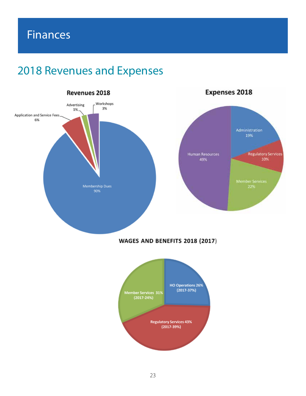### 2018 Revenues and Expenses

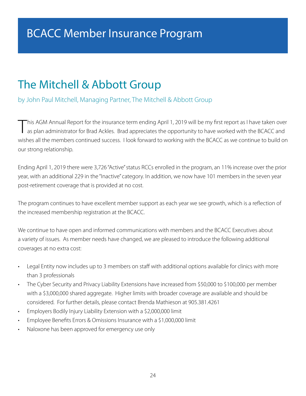### BCACC Member Insurance Program

### The Mitchell & Abbott Group

#### by John Paul Mitchell, Managing Partner, The Mitchell & Abbott Group

This AGM Annual Report for the insurance term ending April 1, 2019 will be my first report as I have taken over<br>Tas plan administrator for Brad Ackles. Brad appreciates the opportunity to have worked with the BCACC and wishes all the members continued success. I look forward to working with the BCACC as we continue to build on our strong relationship.

Ending April 1, 2019 there were 3,726 "Active" status RCCs enrolled in the program, an 11% increase over the prior year, with an additional 229 in the "Inactive" category. In addition, we now have 101 members in the seven year post-retirement coverage that is provided at no cost.

The program continues to have excellent member support as each year we see growth, which is a reflection of the increased membership registration at the BCACC.

We continue to have open and informed communications with members and the BCACC Executives about a variety of issues. As member needs have changed, we are pleased to introduce the following additional coverages at no extra cost:

- Legal Entity now includes up to 3 members on staff with additional options available for clinics with more than 3 professionals
- The Cyber Security and Privacy Liability Extensions have increased from \$50,000 to \$100,000 per member with a \$3,000,000 shared aggregate. Higher limits with broader coverage are available and should be considered. For further details, please contact Brenda Mathieson at 905.381.4261
- Employers Bodily Injury Liability Extension with a \$2,000,000 limit
- Employee Benefits Errors & Omissions Insurance with a \$1,000,000 limit
- Naloxone has been approved for emergency use only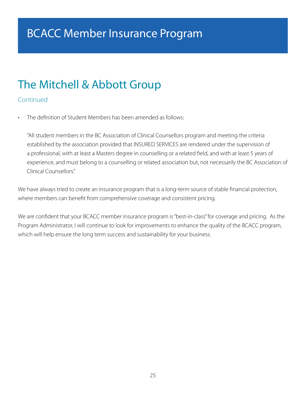### BCACC Member Insurance Program

### The Mitchell & Abbott Group

#### Continued

• The definition of Student Members has been amended as follows:

"All student members in the BC Association of Clinical Counsellors program and meeting the criteria established by the association provided that INSURED SERVICES are rendered under the supervision of a professional, with at least a Masters degree in counselling or a related field, and with at least 5 years of experience, and must belong to a counselling or related association but, not necessarily the BC Association of Clinical Counsellors."

We have always tried to create an insurance program that is a long-term source of stable financial protection, where members can benefit from comprehensive coverage and consistent pricing.

We are confident that your BCACC member insurance program is "best-in-class" for coverage and pricing. As the Program Administrator, I will continue to look for improvements to enhance the quality of the BCACC program, which will help ensure the long term success and sustainability for your business.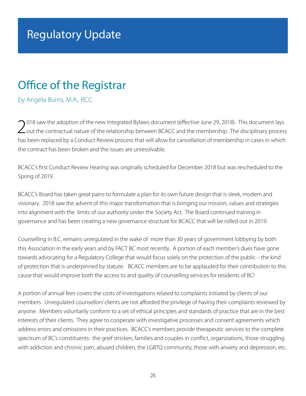### Office of the Registrar

by Angela Burns, M.A,. RCC

2018 saw the adoption of the new Integrated Bylaws document (effective June 29, 2018). This document lays out the contractual nature of the relationship between BCACC and the membership. The disciplinary process has been replaced by a Conduct Review process that will allow for cancellation of membership in cases in which the contract has been broken and the issues are unresolvable.

BCACC's first Conduct Review Hearing was originally scheduled for December 2018 but was rescheduled to the Spring of 2019.

BCACC's Board has taken great pains to formulate a plan for its own future design that is sleek, modern and visionary. 2018 saw the advent of this major transformation that is bringing our mission, values and strategies into alignment with the limits of our authority under the Society Act. The Board continued training in governance and has been creating a new governance structure for BCACC that will be rolled out in 2019.

Counselling in B.C. remains unregulated in the wake of more than 30 years of government lobbying by both this Association in the early years and by FACT BC most recently. A portion of each member's dues have gone towards advocating for a Regulatory College that would focus solely on the protection of the public – the kind of protection that is underpinned by statute. BCACC members are to be applauded for their contribution to this cause that would improve both the access to and quality of counselling services for residents of BC!

A portion of annual fees covers the costs of investigations related to complaints initiated by clients of our members. Unregulated counsellors' clients are not afforded the privilege of having their complaints reviewed by anyone. Members voluntarily conform to a set of ethical principles and standards of practice that are in the best interests of their clients. They agree to cooperate with investigative processes and consent agreements which address errors and omissions in their practices. BCACC's members provide therapeutic services to the complete spectrum of BC's constituents: the grief stricken, families and couples in conflict, organizations, those struggling with addiction and chronic pain, abused children, the LGBTQ community, those with anxiety and depression, etc.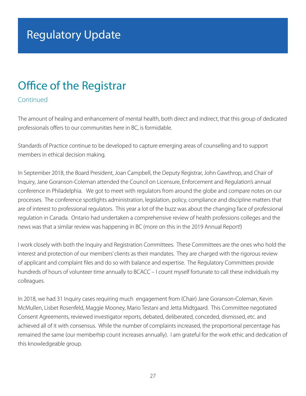### Office of the Registrar

#### Continued

The amount of healing and enhancement of mental health, both direct and indirect, that this group of dedicated professionals offers to our communities here in BC, is formidable.

Standards of Practice continue to be developed to capture emerging areas of counselling and to support members in ethical decision making.

In September 2018, the Board President, Joan Campbell, the Deputy Registrar, John Gawthrop, and Chair of Inquiry, Jane Goranson-Coleman attended the Council on Licensure, Enforcement and Regulation's annual conference in Philadelphia. We got to meet with regulators from around the globe and compare notes on our processes. The conference spotlights administration, legislation, policy, compliance and discipline matters that are of interest to professional regulators. This year a lot of the buzz was about the changing face of professional regulation in Canada. Ontario had undertaken a comprehensive review of health professions colleges and the news was that a similar review was happening in BC (more on this in the 2019 Annual Report!)

I work closely with both the Inquiry and Registration Committees. These Committees are the ones who hold the interest and protection of our members' clients as their mandates. They are charged with the rigorous review of applicant and complaint files and do so with balance and expertise. The Regulatory Committees provide hundreds of hours of volunteer time annually to BCACC – I count myself fortunate to call these individuals my colleagues.

In 2018, we had 31 Inquiry cases requiring much engagement from (Chair) Jane Goranson-Coleman, Kevin McMullen, Lisbet Rosenfeld, Maggie Mooney, Mario Testani and Jetta Midtgaard. This Committee negotiated Consent Agreements, reviewed investigator reports, debated, deliberated, conceded, dismissed, etc. and achieved all of it with consensus. While the number of complaints increased, the proportional percentage has remained the same (our memberhip count increases annually). I am grateful for the work ethic and dedication of this knowledgeable group.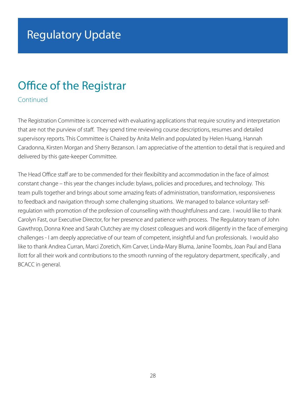### Office of the Registrar

Continued

The Registration Committee is concerned with evaluating applications that require scrutiny and interpretation that are not the purview of staff. They spend time reviewing course descriptions, resumes and detailed supervisory reports. This Committee is Chaired by Anita Melin and populated by Helen Huang, Hannah Caradonna, Kirsten Morgan and Sherry Bezanson. I am appreciative of the attention to detail that is required and delivered by this gate-keeper Committee.

The Head Office staff are to be commended for their flexibiltity and accommodation in the face of almost constant change – this year the changes include: bylaws, policies and procedures, and technology. This team pulls together and brings about some amazing feats of administration, transformation, responsiveness to feedback and navigation through some challenging situations. We managed to balance voluntary selfregulation with promotion of the profession of counselling with thoughtfulness and care. I would like to thank Carolyn Fast, our Executive Director, for her presence and patience with process. The Regulatory team of John Gawthrop, Donna Knee and Sarah Clutchey are my closest colleagues and work diligently in the face of emerging challenges - I am deeply appreciative of our team of competent, insightful and fun professionals. I would also like to thank Andrea Curran, Marci Zoretich, Kim Carver, Linda-Mary Bluma, Janine Toombs, Joan Paul and Elana llott for all their work and contributions to the smooth running of the regulatory department, specifically , and BCACC in general.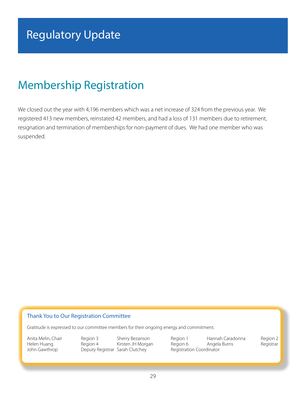### Membership Registration

We closed out the year with 4,196 members which was a net increase of 324 from the previous year. We registered 413 new members, reinstated 42 members, and had a loss of 131 members due to retirement, resignation and termination of memberships for non-payment of dues. We had one member who was suspended.

#### Thank You to Our Registration Committee

Gratitude is expressed to our committee members for their ongoing energy and commitment.

John Gawthrop **Deputy Registrar Sarah Clutchey** Registration Coordinator

Anita Melin, Chair Region 3 Sherry Bezanson Region 1 Hannah Caradonna Region 2 Helen Huang **Region 4** Kirsten JH Morgan Region 6 Angela Burns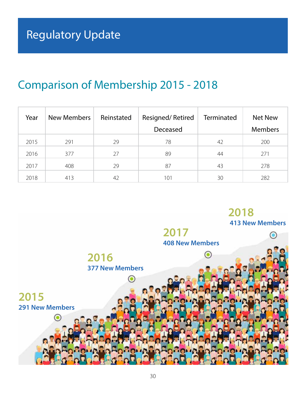### Comparison of Membership 2015 - 2018

| Year | New Members | Reinstated | Resigned/Retired | Terminated | Net New        |
|------|-------------|------------|------------------|------------|----------------|
|      |             |            | Deceased         |            | <b>Members</b> |
| 2015 | 291         | 29         | 78               | 42         | 200            |
| 2016 | 377         | 27         | 89               | 44         | 271            |
| 2017 | 408         | 29         | 87               | 43         | 278            |
| 2018 | 413         | 42         | 101              | 30         | 282            |

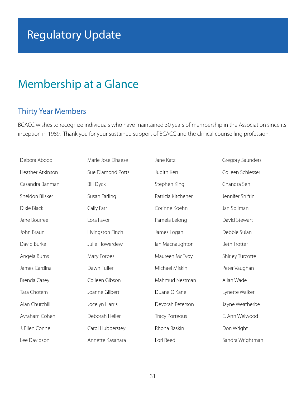### Membership at a Glance

#### Thirty Year Members

BCACC wishes to recognize individuals who have maintained 30 years of membership in the Association since its inception in 1989. Thank you for your sustained support of BCACC and the clinical counselling profession.

| Debora Abood     | Marie Jose Dhaese | Jane Katz             | <b>Gregory Saunders</b> |
|------------------|-------------------|-----------------------|-------------------------|
| Heather Atkinson | Sue Diamond Potts | Judith Kerr           | Colleen Schiesser       |
| Casandra Banman  | <b>Bill Dyck</b>  | Stephen King          | Chandra Sen             |
| Sheldon Bilsker  | Susan Farling     | Patricia Kitchener    | Jennifer Shifrin        |
| Dixie Black      | Cally Farr        | Corinne Koehn         | Jan Spilman             |
| Jane Bourree     | Lora Favor        | Pamela Lelong         | David Stewart           |
| John Braun       | Livingston Finch  | James Logan           | Debbie Suian            |
| David Burke      | Julie Flowerdew   | lan Macnaughton       | <b>Beth Trotter</b>     |
| Angela Burns     | Mary Forbes       | Maureen McEvoy        | Shirley Turcotte        |
| James Cardinal   | Dawn Fuller       | Michael Miskin        | Peter Vaughan           |
| Brenda Casey     | Colleen Gibson    | Mahmud Nestman        | Allan Wade              |
| Tara Chotem      | Joanne Gilbert    | Duane O'Kane          | Lynette Walker          |
| Alan Churchill   | Jocelyn Harris    | Devorah Peterson      | Jayne Weatherbe         |
| Avraham Cohen    | Deborah Heller    | <b>Tracy Porteous</b> | E. Ann Welwood          |
| J. Ellen Connell | Carol Hubberstey  | Rhona Raskin          | Don Wright              |
| Lee Davidson     | Annette Kasahara  | Lori Reed             | Sandra Wrightman        |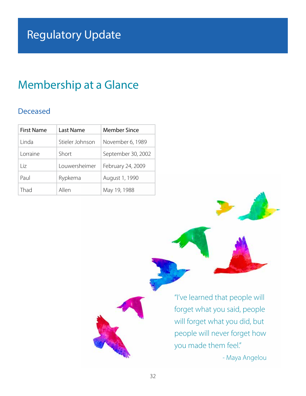### Membership at a Glance

#### Deceased

| <b>First Name</b> | Last Name                   | <b>Member Since</b> |  |
|-------------------|-----------------------------|---------------------|--|
| Linda             | Stieler Johnson             | November 6, 1989    |  |
| Lorraine          | September 30, 2002<br>Short |                     |  |
| $\overline{1}$ iz | Louwersheimer               | February 24, 2009   |  |
| Paul              | Rypkema                     | August 1, 1990      |  |
| Thad              | Allen                       | May 19, 1988        |  |

"I've learned that people will forget what you said, people will forget what you did, but people will never forget how you made them feel."

- Maya Angelou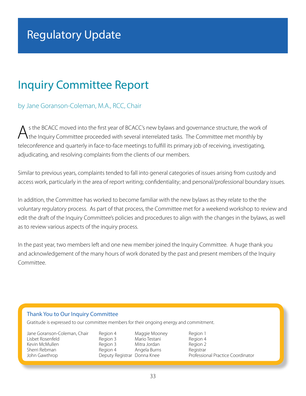### Inquiry Committee Report

#### by Jane Goranson-Coleman, M.A., RCC, Chair

s the BCACC moved into the first year of BCACC's new bylaws and governance structure, the work of the Inquiry Committee proceeded with several interrelated tasks. The Committee met monthly by teleconference and quarterly in face-to-face meetings to fulfill its primary job of receiving, investigating, adjudicating, and resolving complaints from the clients of our members.

Similar to previous years, complaints tended to fall into general categories of issues arising from custody and access work, particularly in the area of report writing; confidentiality; and personal/professional boundary issues.

In addition, the Committee has worked to become familiar with the new bylaws as they relate to the the voluntary regulatory process. As part of that process, the Committee met for a weekend workshop to review and edit the draft of the Inquiry Committee's policies and procedures to align with the changes in the bylaws, as well as to review various aspects of the inquiry process.

In the past year, two members left and one new member joined the Inquiry Committee. A huge thank you and acknowledgement of the many hours of work donated by the past and present members of the Inquiry Committee.

#### Thank You to Our Inquiry Committee

Gratitude is expressed to our committee members for their ongoing energy and commitment.

| Jane Goranson-Coleman, Chair |
|------------------------------|
| Lisbet Rosenfeld             |
| Kevin McMullen               |
| Sherri Rebman                |
| John Gawthrop                |
|                              |

Region 4 Maggie Mooney Region 1 Region 3 Mario Testani Region 4 Region 3 Mitra Jordan Region 2 Deputy Registrar Donna Knee

Sherri Rebman Region 4 Angela Burns Registrar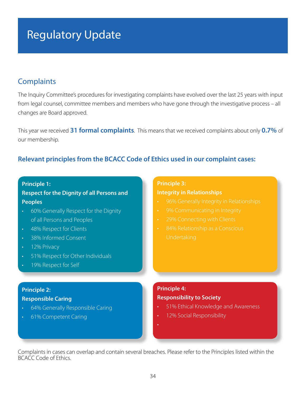#### **Complaints**

The Inquiry Committee's procedures for investigating complaints have evolved over the last 25 years with input from legal counsel, committee members and members who have gone through the investigative process – all changes are Board approved.

This year we received **31 formal complaints**. This means that we received complaints about only **0.7%** of our membership.

#### **Relevant principles from the BCACC Code of Ethics used in our complaint cases:**

#### **Principle 1:**

**Respect for the Dignity of all Persons and Peoples**

- 60% Generally Respect for the Dignity of all Persons and Peoples
- 48% Respect for Clients
- 38% Informed Consent
- 12% Privacy
- 51% Respect for Other Individuals
- 19% Respect for Self

#### **Principle 2: Responsible Caring**

- 64% Generally Responsible Caring
- 61% Competent Caring

#### **Principle 3:**

#### **Integrity in Relationships**

- 
- 
- 
- 

#### **Principle 4: Responsibility to Society**

- 51% Ethical Knowledge and Awareness
- 12% Social Responsibility
- •

Complaints in cases can overlap and contain several breaches. Please refer to the Principles listed within the BCACC Code of Ethics.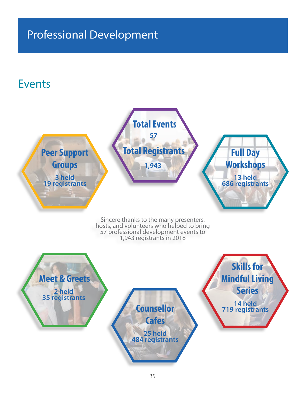### Professional Development

### Events

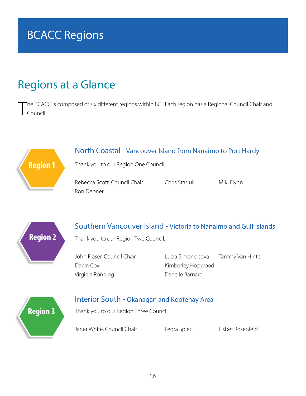### BCACC Regions

### Regions at a Glance

**Region 2**

**Region 3**

T he BCACC is composed of six different regions within BC. Each region has a Regional Council Chair and Council.

### **Region 1** North Coastal - Vancouver Island from Nanaimo to Port Hardy Thank you to our Region One Council. Rebecca Scott, Council Chair Chris Stasiuk Miki Flynn Ron Depner Southern Vancouver Island - Victoria to Nanaimo and Gulf Islands

Thank you to our Region Two Council.

Dawn Cox **Kimberley Hopwood** Virginia Ronning **Danelle Barnard** 

John Fraser, Council Chair **Lucia Simoncicova** Tammy Van Hinte

#### Interior South - Okanagan and Kootenay Area

Thank you to our Region Three Council.

Janet White, Council Chair Leora Splett Lisbet Rosenfeld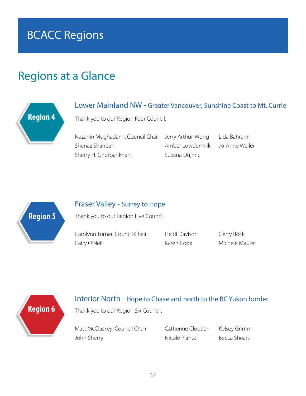### BCACC Regions

### Regions at a Glance



#### Lower Mainland NW - Greater Vancouver, Sunshine Coast to Mt. Currie

Thank you to our Region Four Council.

Nazanin Moghadami, Council Chair Jerry Arthur-Wong Lida Bahrami Shenaz Shahban Amber Lowdermilk Jo-Anne Weiler Sherry H. Ghorbankhani Suzana Dujmic

**Region 5**

#### Fraser Valley - Surrey to Hope

Thank you to our Region Five Council.

Carolynn Turner, Council Chair Heidi Davison Gerry Bock Caity O'Neill **Karen Cook** Michele Maurer

# **Region 6**

#### Interior North - Hope to Chase and north to the BC Yukon border

Thank you to our Region Six Council.

Matt McClaskey, Council Chair Catherine Cloutier Kelsey Grimm John Sherry **Nicole Plante** Becca Shears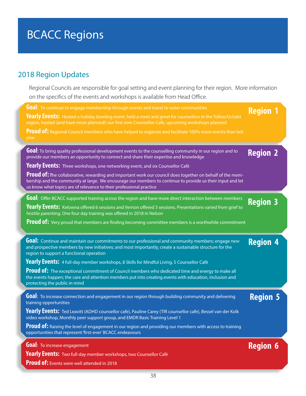## BCACC Regions

### 2018 Region Updates

Regional Councils are responsible for goal setting and event planning for their region. More information on the specifics of the events and workshops is available from Head Office.

| Goal: To continue to engage membership through events and travel to outer communities<br>Yearly Events: Hosted a holiday bowling event, held a meet and greet for counsellors in the Tofino/Uclulet<br>region, hosted (and have more planned!) our first ever Counsellor Cafe, upcoming workshops planned<br>Proud of: Regional Council members who have helped to organize and facilitate 100% more events than last<br>year                                                                                                                                                                             | <b>Region 1</b> |
|-----------------------------------------------------------------------------------------------------------------------------------------------------------------------------------------------------------------------------------------------------------------------------------------------------------------------------------------------------------------------------------------------------------------------------------------------------------------------------------------------------------------------------------------------------------------------------------------------------------|-----------------|
| Goal: To bring quality professional development events to the counselling community in our region and to<br>provide our members an opportunity to connect and share their expertise and knowledge<br>Yearly Events: Three workshops, one networking event, and six Counsellor Cafè<br>Proud of: The collaborative, rewarding and important work our council does together on behalf of the mem-<br>bership and the community at large. We encourage our members to continue to provide us their input and let<br>us know what topics are of relevance to their professional practice                      | <b>Region 2</b> |
| Goal: Offer BCACC supported training across the region and have more direct interaction between members<br><b>Yearly Events:</b> Kelowna offered 6 sessions and Vernon offered 3 sessions. Presentations varied from grief to<br>hostile parenting. One four day training was offered in 2018 in Nelson<br>Proud of: Very proud that members are finding becoming committee members is a worthwhile commitment                                                                                                                                                                                            | <b>Region 3</b> |
| Goal: Continue and maintain our commitments to our professional and community members; engage new<br>and prospective members by new initiatives; and most importantly, create a sustainable structure for the<br>region to support a functional operation<br>Yearly Events: 4 full-day member workshops, 8 Skills for Mindful Living, 5 Counsellor Cafè<br>Proud of: The exceptional commitment of Council members who dedicated time and energy to make all<br>the events happen; the care and attention members put into creating events with education, inclusion and<br>protecting the public in mind | <b>Region 4</b> |
| Goal: To increase connection and engagement in our region through building community and delivering<br>training opportunities<br>Yearly Events: Ted Leavitt (ADHD counsellor cafe), Pauline Carey (TIR counsellor cafe), Bessel van der Kolk<br>video workshop, Monthly peer support group, and EMDR Basic Training Level 1<br>Proud of: Raising the level of engagement in our region and providing our members with access to training<br>opportunities that represent 'first-ever' BCACC endeavours                                                                                                    | <b>Region 5</b> |
| Goal: To increase engagement<br>Yearly Events: Two full-day member workshops, two Counsellor Cafè<br><b>Proud of:</b> Events were well attended in 2018                                                                                                                                                                                                                                                                                                                                                                                                                                                   | <b>Region 6</b> |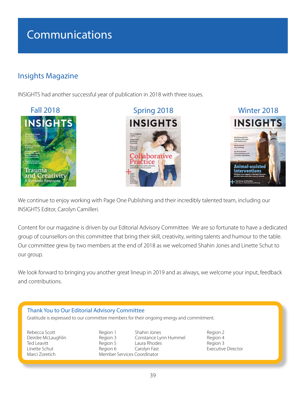### Communications

### Insights Magazine

INSIGHTS had another successful year of publication in 2018 with three issues.







We continue to enjoy working with Page One Publishing and their incredibly talented team, including our INSIGHTS Editor, Carolyn Camilleri.

Content for our magazine is driven by our Editorial Advisory Committee. We are so fortunate to have a dedicated group of counsellors on this committee that bring their skill, creativity, writing talents and humour to the table. Our committee grew by two members at the end of 2018 as we welcomed Shahin Jones and Linette Schut to our group.

We look forward to bringing you another great lineup in 2019 and as always, we welcome your input, feedback and contributions.

#### Thank You to Our Editorial Advisory Committee Gratitude is expressed to our committee members for their ongoing energy and commitment. Rebecca Scott **Region 2** Region 1 Shahin Jones Region 2 Deirdre McLaughlin Region 3 Constance Lynn Hummel Region 4 Laura Rhodes Linette Schut **Executive Carolyn Fast** Executive Director Region 6 Carolyn Fast **Executive Director**<br>
Member Services Coordinator Member Services Coordinator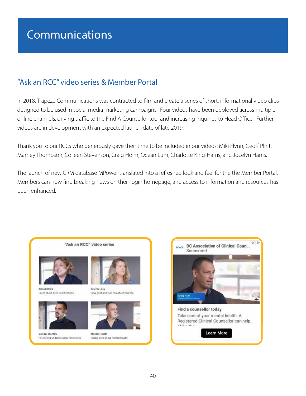### "Ask an RCC" video series & Member Portal

In 2018, Trapeze Communications was contracted to film and create a series of short, informational video clips designed to be used in social media marketing campaigns. Four videos have been deployed across multiple online channels, driving traffic to the Find A Counsellor tool and increasing inquiries to Head Office. Further videos are in development with an expected launch date of late 2019.

Thank you to our RCCs who generously gave their time to be included in our videos: Miki Flynn, Geoff Plint, Marney Thompson, Colleen Stevenson, Craig Holm, Ocean Lum, Charlotte King-Harris, and Jocelyn Harris.

The launch of new CRM database MPower translated into a refreshed look and feel for the the Member Portal. Members can now find breaking news on their login homepage, and access to information and resources has been enhanced.



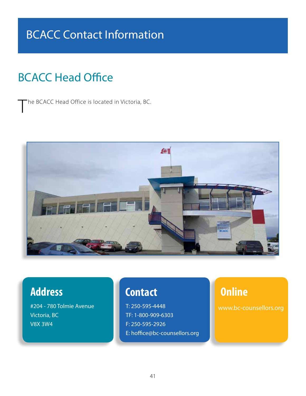### BCACC Contact Information

### BCACC Head Office

The BCACC Head Office is located in Victoria, BC.



#204 - 780 Tolmie Avenue Victoria, BC V8X 3W4

### **Address Contact Contact Contact**

T: 250-595-4448 TF: 1-800-909-6303 F: 250-595-2926 E: hoffice@bc-counsellors.org

www.bc-counsellors.org